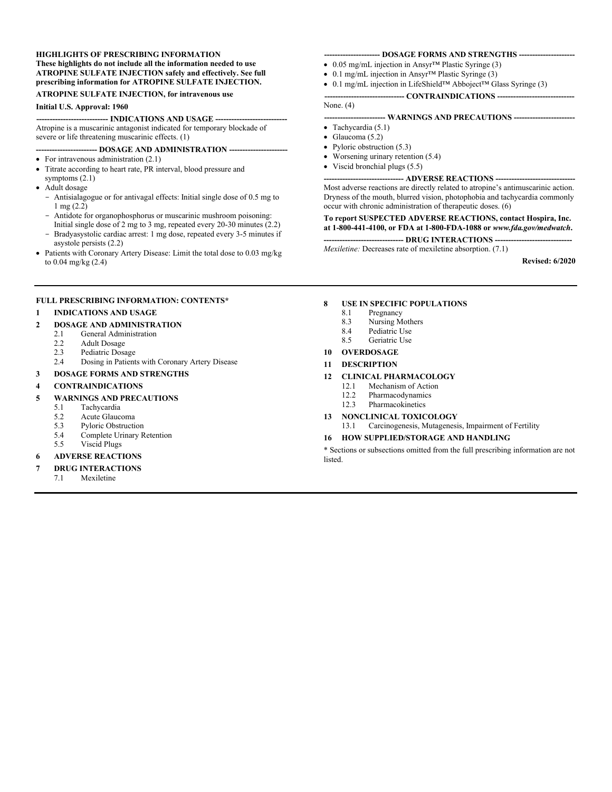#### **HIGHLIGHTS OF PRESCRIBING INFORMATION These highlights do not include all the information needed to use ATROPINE SULFATE INJECTION safely and effectively. See full prescribing information for ATROPINE SULFATE INJECTION.**

#### **ATROPINE SULFATE INJECTION, for intravenous use**

#### **Initial U.S. Approval: 1960**

**--------------------------- INDICATIONS AND USAGE ---------------------------** Atropine is a muscarinic antagonist indicated for temporary blockade of severe or life threatening muscarinic effects. (1)

### **----------------------- DOSAGE AND ADMINISTRATION ----------------------**

- For intravenous administration (2.1)
- Titrate according to heart rate, PR interval, blood pressure and symptoms (2.1)
- Adult dosage
	- Antisialagogue or for antivagal effects: Initial single dose of 0.5 mg to 1 mg (2.2)
	- Antidote for organophosphorus or muscarinic mushroom poisoning: Initial single dose of 2 mg to 3 mg, repeated every 20-30 minutes  $(2.2)$
	- Bradyasystolic cardiac arrest: 1 mg dose, repeated every 3-5 minutes if asystole persists (2.2)
- Patients with Coronary Artery Disease: Limit the total dose to 0.03 mg/kg to 0.04 mg/kg (2.4)

### **FULL PRESCRIBING INFORMATION: CONTENTS\***

### **1 INDICATIONS AND USAGE**

- **2 DOSAGE AND ADMINISTRATION**
	- 2.1 General Administration<br>2.2 Adult Dosage
	- Adult Dosage
	- 2.3 Pediatric Dosage
	- 2.4 Dosing in Patients with Coronary Artery Disease
- **3 DOSAGE FORMS AND STRENGTHS**

#### **4 CONTRAINDICATIONS**

#### **5 WARNINGS AND PRECAUTIONS**

- 5.1 Tachycardia
- 5.2 Acute Glaucoma
- 5.3 Pyloric Obstruction
- 5.4 Complete Urinary Retention<br>5.5 Viscid Plugs
- Viscid Plugs
- **6 ADVERSE REACTIONS**

#### **7 DRUG INTERACTIONS**

7.1 Mexiletine

#### **--------------------- DOSAGE FORMS AND STRENGTHS ---------------------**

- 0.05 mg/mL injection in Ansyr™ Plastic Syringe (3)
- 0.1 mg/mL injection in Ansyr™ Plastic Syringe (3)
- 0.1 mg/mL injection in LifeShield™ Abboject™ Glass Syringe (3)

### **------------------------------ CONTRAINDICATIONS -----------------------------**

### None. (4)

### **----------------------- WARNINGS AND PRECAUTIONS -----------------------**

- $\bullet$  Tachycardia (5.1)
- $\bullet$  Glaucoma (5.2)
- Pyloric obstruction (5.3)
- Worsening urinary retention (5.4)
- Viscid bronchial plugs (5.5)

#### **------------------------------ ADVERSE REACTIONS ------------------------------** Most adverse reactions are directly related to atropine's antimuscarinic action. Dryness of the mouth, blurred vision, photophobia and tachycardia commonly occur with chronic administration of therapeutic doses. (6)

### **To report SUSPECTED ADVERSE REACTIONS, contact Hospira, Inc. at 1-800-441-4100, or FDA at 1-800-FDA-1088 or** *www.fda.gov/medwatch***.**

**------------------------------ DRUG INTERACTIONS -----------------------------**

*Mexiletine:* Decreases rate of mexiletine absorption. (7.1)

**Revised: 6/2020**

## **8 USE IN SPECIFIC POPULATIONS**

- **Pregnancy**
- 8.3 Nursing Mothers
- 8.4 Pediatric Use<br>8.5 Geriatric Use
- Geriatric Use

### **10 OVERDOSAGE**

#### **11 DESCRIPTION**

# **12 CLINICAL PHARMACOLOGY**

- Mechanism of Action
- 12.2 Pharmacodynamics
- 12.3 Pharmacokinetics
- **13 NONCLINICAL TOXICOLOGY**
	- 13.1 Carcinogenesis, Mutagenesis, Impairment of Fertility

### **16 HOW SUPPLIED/STORAGE AND HANDLING**

\* Sections or subsections omitted from the full prescribing information are not listed.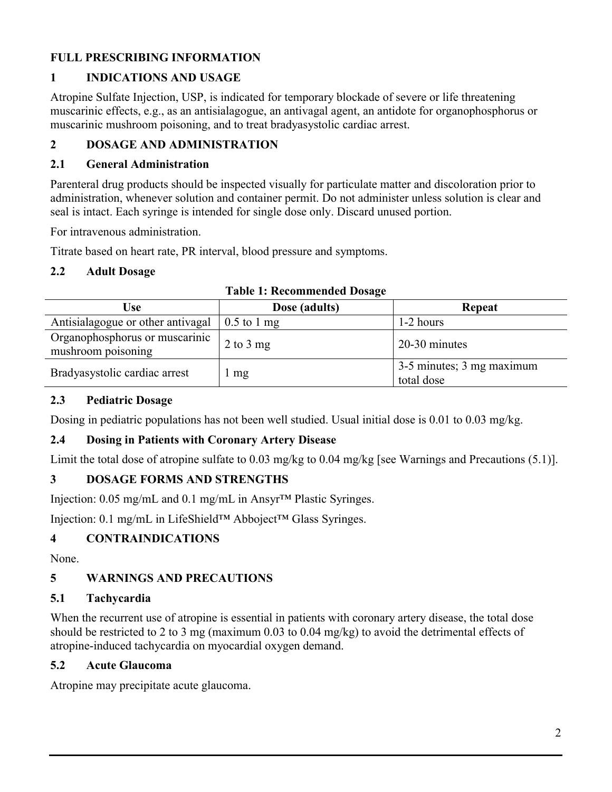## **FULL PRESCRIBING INFORMATION**

## **1 INDICATIONS AND USAGE**

Atropine Sulfate Injection, USP, is indicated for temporary blockade of severe or life threatening muscarinic effects, e.g., as an antisialagogue, an antivagal agent, an antidote for organophosphorus or muscarinic mushroom poisoning, and to treat bradyasystolic cardiac arrest.

## **2 DOSAGE AND ADMINISTRATION**

### **2.1 General Administration**

Parenteral drug products should be inspected visually for particulate matter and discoloration prior to administration, whenever solution and container permit. Do not administer unless solution is clear and seal is intact. Each syringe is intended for single dose only. Discard unused portion.

For intravenous administration.

Titrate based on heart rate, PR interval, blood pressure and symptoms.

### **2.2 Adult Dosage**

| Use                                                  | Dose (adults)       | Repeat                                              |  |  |  |
|------------------------------------------------------|---------------------|-----------------------------------------------------|--|--|--|
| Antisialagogue or other antivagal                    | $\vert$ 0.5 to 1 mg | 1-2 hours                                           |  |  |  |
| Organophosphorus or muscarinic<br>mushroom poisoning | 2 to 3 mg           | 20-30 minutes                                       |  |  |  |
| Bradyasystolic cardiac arrest                        | l mg                | $\frac{3-5}{3}$ minutes; 3 mg maximum<br>total dose |  |  |  |

|  | <b>Table 1: Recommended Dosage</b> |  |
|--|------------------------------------|--|
|  |                                    |  |

## **2.3 Pediatric Dosage**

Dosing in pediatric populations has not been well studied. Usual initial dose is 0.01 to 0.03 mg/kg.

## **2.4 Dosing in Patients with Coronary Artery Disease**

Limit the total dose of atropine sulfate to 0.03 mg/kg to 0.04 mg/kg [see Warnings and Precautions (5.1)].

## **3 DOSAGE FORMS AND STRENGTHS**

Injection: 0.05 mg/mL and 0.1 mg/mL in Ansyr™ Plastic Syringes.

Injection: 0.1 mg/mL in LifeShield™ Abboject™ Glass Syringes.

## **4 CONTRAINDICATIONS**

None.

## **5 WARNINGS AND PRECAUTIONS**

## **5.1 Tachycardia**

When the recurrent use of atropine is essential in patients with coronary artery disease, the total dose should be restricted to 2 to 3 mg (maximum 0.03 to 0.04 mg/kg) to avoid the detrimental effects of atropine-induced tachycardia on myocardial oxygen demand.

## **5.2 Acute Glaucoma**

Atropine may precipitate acute glaucoma.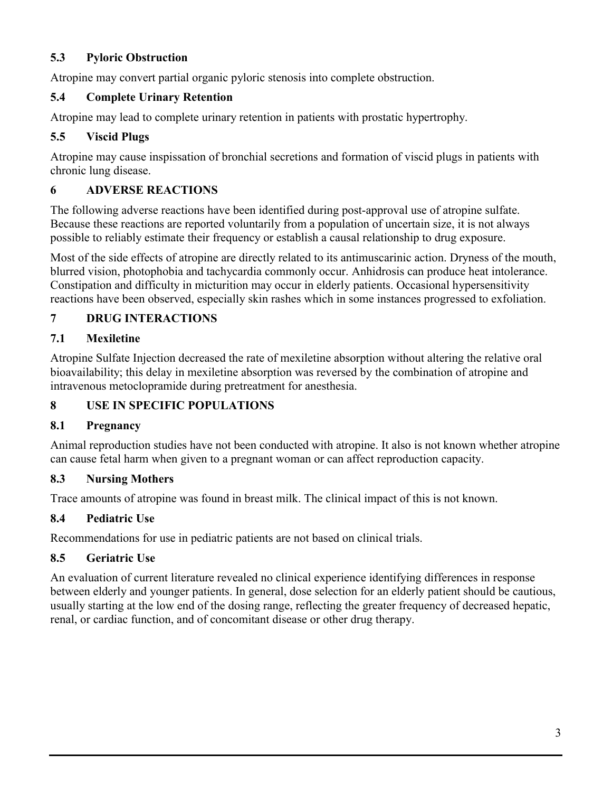### **5.3 Pyloric Obstruction**

Atropine may convert partial organic pyloric stenosis into complete obstruction.

### **5.4 Complete Urinary Retention**

Atropine may lead to complete urinary retention in patients with prostatic hypertrophy.

### **5.5 Viscid Plugs**

Atropine may cause inspissation of bronchial secretions and formation of viscid plugs in patients with chronic lung disease.

## **6 ADVERSE REACTIONS**

The following adverse reactions have been identified during post-approval use of atropine sulfate. Because these reactions are reported voluntarily from a population of uncertain size, it is not always possible to reliably estimate their frequency or establish a causal relationship to drug exposure.

Most of the side effects of atropine are directly related to its antimuscarinic action. Dryness of the mouth, blurred vision, photophobia and tachycardia commonly occur. Anhidrosis can produce heat intolerance. Constipation and difficulty in micturition may occur in elderly patients. Occasional hypersensitivity reactions have been observed, especially skin rashes which in some instances progressed to exfoliation.

## **7 DRUG INTERACTIONS**

### **7.1 Mexiletine**

Atropine Sulfate Injection decreased the rate of mexiletine absorption without altering the relative oral bioavailability; this delay in mexiletine absorption was reversed by the combination of atropine and intravenous metoclopramide during pretreatment for anesthesia.

## **8 USE IN SPECIFIC POPULATIONS**

## **8.1 Pregnancy**

Animal reproduction studies have not been conducted with atropine. It also is not known whether atropine can cause fetal harm when given to a pregnant woman or can affect reproduction capacity.

## **8.3 Nursing Mothers**

Trace amounts of atropine was found in breast milk. The clinical impact of this is not known.

## **8.4 Pediatric Use**

Recommendations for use in pediatric patients are not based on clinical trials.

## **8.5 Geriatric Use**

An evaluation of current literature revealed no clinical experience identifying differences in response between elderly and younger patients. In general, dose selection for an elderly patient should be cautious, usually starting at the low end of the dosing range, reflecting the greater frequency of decreased hepatic, renal, or cardiac function, and of concomitant disease or other drug therapy.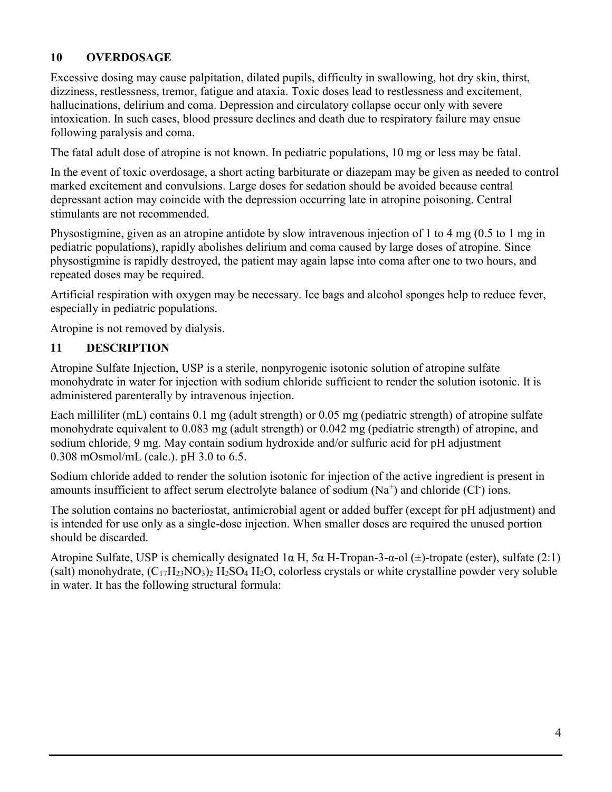## **10 OVERDOSAGE**

Excessive dosing may cause palpitation, dilated pupils, difficulty in swallowing, hot dry skin, thirst, dizziness, restlessness, tremor, fatigue and ataxia. Toxic doses lead to restlessness and excitement, hallucinations, delirium and coma. Depression and circulatory collapse occur only with severe intoxication. In such cases, blood pressure declines and death due to respiratory failure may ensue following paralysis and coma.

The fatal adult dose of atropine is not known. In pediatric populations, 10 mg or less may be fatal.

In the event of toxic overdosage, a short acting barbiturate or diazepam may be given as needed to control marked excitement and convulsions. Large doses for sedation should be avoided because central depressant action may coincide with the depression occurring late in atropine poisoning. Central stimulants are not recommended.

Physostigmine, given as an atropine antidote by slow intravenous injection of 1 to 4 mg (0.5 to 1 mg in pediatric populations), rapidly abolishes delirium and coma caused by large doses of atropine. Since physostigmine is rapidly destroyed, the patient may again lapse into coma after one to two hours, and repeated doses may be required.

Artificial respiration with oxygen may be necessary. Ice bags and alcohol sponges help to reduce fever, especially in pediatric populations.

Atropine is not removed by dialysis.

## **11 DESCRIPTION**

Atropine Sulfate Injection, USP is a sterile, nonpyrogenic isotonic solution of atropine sulfate monohydrate in water for injection with sodium chloride sufficient to render the solution isotonic. It is administered parenterally by intravenous injection.

Each milliliter (mL) contains 0.1 mg (adult strength) or 0.05 mg (pediatric strength) of atropine sulfate monohydrate equivalent to 0.083 mg (adult strength) or 0.042 mg (pediatric strength) of atropine, and sodium chloride, 9 mg. May contain sodium hydroxide and/or sulfuric acid for pH adjustment 0.308 mOsmol/mL (calc.). pH 3.0 to 6.5.

Sodium chloride added to render the solution isotonic for injection of the active ingredient is present in amounts insufficient to affect serum electrolyte balance of sodium  $(Na^{+})$  and chloride  $(Cl^{-})$  ions.

The solution contains no bacteriostat, antimicrobial agent or added buffer (except for pH adjustment) and is intended for use only as a single-dose injection. When smaller doses are required the unused portion should be discarded.

Atropine Sulfate, USP is chemically designated  $1\alpha$  H,  $5\alpha$  H-Tropan-3- $\alpha$ -ol ( $\pm$ )-tropate (ester), sulfate (2:1) (salt) monohydrate,  $(C_{17}H_{23}NO_3)_2$  H<sub>2</sub>SO<sub>4</sub> H<sub>2</sub>O, colorless crystals or white crystalline powder very soluble in water. It has the following structural formula: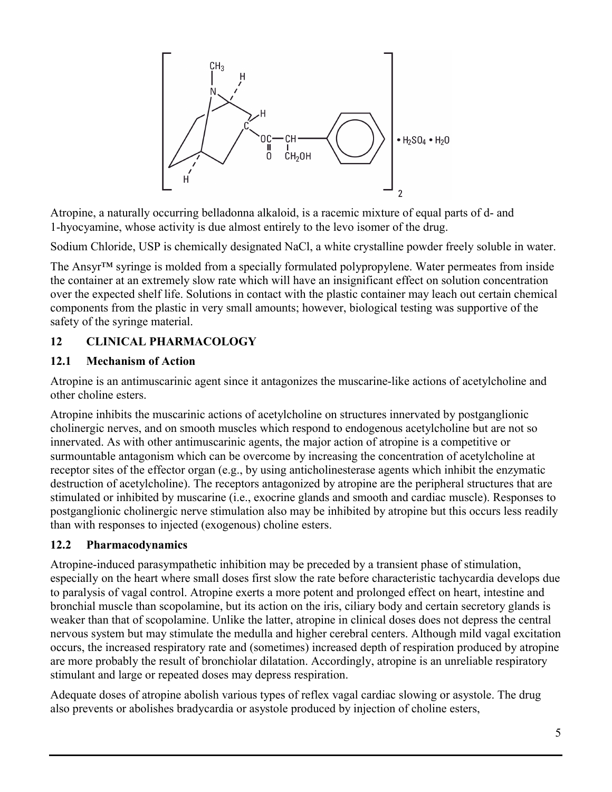

Atropine, a naturally occurring belladonna alkaloid, is a racemic mixture of equal parts of d- and 1-hyocyamine, whose activity is due almost entirely to the levo isomer of the drug.

Sodium Chloride, USP is chemically designated NaCl, a white crystalline powder freely soluble in water.

The Ansyr™ syringe is molded from a specially formulated polypropylene. Water permeates from inside the container at an extremely slow rate which will have an insignificant effect on solution concentration over the expected shelf life. Solutions in contact with the plastic container may leach out certain chemical components from the plastic in very small amounts; however, biological testing was supportive of the safety of the syringe material.

## **12 CLINICAL PHARMACOLOGY**

### **12.1 Mechanism of Action**

Atropine is an antimuscarinic agent since it antagonizes the muscarine-like actions of acetylcholine and other choline esters.

Atropine inhibits the muscarinic actions of acetylcholine on structures innervated by postganglionic cholinergic nerves, and on smooth muscles which respond to endogenous acetylcholine but are not so innervated. As with other antimuscarinic agents, the major action of atropine is a competitive or surmountable antagonism which can be overcome by increasing the concentration of acetylcholine at receptor sites of the effector organ (e.g., by using anticholinesterase agents which inhibit the enzymatic destruction of acetylcholine). The receptors antagonized by atropine are the peripheral structures that are stimulated or inhibited by muscarine (i.e., exocrine glands and smooth and cardiac muscle). Responses to postganglionic cholinergic nerve stimulation also may be inhibited by atropine but this occurs less readily than with responses to injected (exogenous) choline esters.

## **12.2 Pharmacodynamics**

Atropine-induced parasympathetic inhibition may be preceded by a transient phase of stimulation, especially on the heart where small doses first slow the rate before characteristic tachycardia develops due to paralysis of vagal control. Atropine exerts a more potent and prolonged effect on heart, intestine and bronchial muscle than scopolamine, but its action on the iris, ciliary body and certain secretory glands is weaker than that of scopolamine. Unlike the latter, atropine in clinical doses does not depress the central nervous system but may stimulate the medulla and higher cerebral centers. Although mild vagal excitation occurs, the increased respiratory rate and (sometimes) increased depth of respiration produced by atropine are more probably the result of bronchiolar dilatation. Accordingly, atropine is an unreliable respiratory stimulant and large or repeated doses may depress respiration.

Adequate doses of atropine abolish various types of reflex vagal cardiac slowing or asystole. The drug also prevents or abolishes bradycardia or asystole produced by injection of choline esters,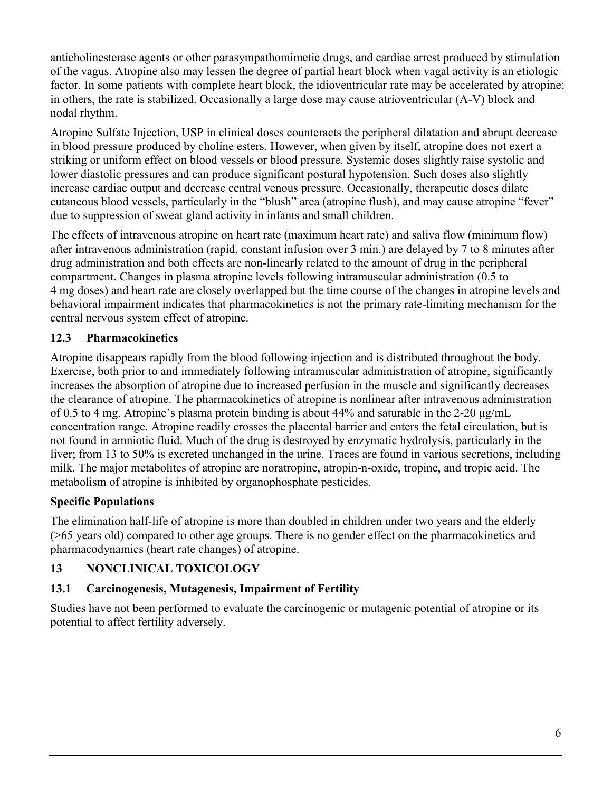anticholinesterase agents or other parasympathomimetic drugs, and cardiac arrest produced by stimulation of the vagus. Atropine also may lessen the degree of partial heart block when vagal activity is an etiologic factor. In some patients with complete heart block, the idioventricular rate may be accelerated by atropine; in others, the rate is stabilized. Occasionally a large dose may cause atrioventricular (A-V) block and nodal rhythm.

Atropine Sulfate Injection, USP in clinical doses counteracts the peripheral dilatation and abrupt decrease in blood pressure produced by choline esters. However, when given by itself, atropine does not exert a striking or uniform effect on blood vessels or blood pressure. Systemic doses slightly raise systolic and lower diastolic pressures and can produce significant postural hypotension. Such doses also slightly increase cardiac output and decrease central venous pressure. Occasionally, therapeutic doses dilate cutaneous blood vessels, particularly in the "blush" area (atropine flush), and may cause atropine "fever" due to suppression of sweat gland activity in infants and small children.

The effects of intravenous atropine on heart rate (maximum heart rate) and saliva flow (minimum flow) after intravenous administration (rapid, constant infusion over 3 min.) are delayed by 7 to 8 minutes after drug administration and both effects are non-linearly related to the amount of drug in the peripheral compartment. Changes in plasma atropine levels following intramuscular administration (0.5 to 4 mg doses) and heart rate are closely overlapped but the time course of the changes in atropine levels and behavioral impairment indicates that pharmacokinetics is not the primary rate-limiting mechanism for the central nervous system effect of atropine.

## **12.3 Pharmacokinetics**

Atropine disappears rapidly from the blood following injection and is distributed throughout the body. Exercise, both prior to and immediately following intramuscular administration of atropine, significantly increases the absorption of atropine due to increased perfusion in the muscle and significantly decreases the clearance of atropine. The pharmacokinetics of atropine is nonlinear after intravenous administration of 0.5 to 4 mg. Atropine's plasma protein binding is about 44% and saturable in the 2-20 μg/mL concentration range. Atropine readily crosses the placental barrier and enters the fetal circulation, but is not found in amniotic fluid. Much of the drug is destroyed by enzymatic hydrolysis, particularly in the liver; from 13 to 50% is excreted unchanged in the urine. Traces are found in various secretions, including milk. The major metabolites of atropine are noratropine, atropin-n-oxide, tropine, and tropic acid. The metabolism of atropine is inhibited by organophosphate pesticides.

## **Specific Populations**

The elimination half-life of atropine is more than doubled in children under two years and the elderly (>65 years old) compared to other age groups. There is no gender effect on the pharmacokinetics and pharmacodynamics (heart rate changes) of atropine.

## **13 NONCLINICAL TOXICOLOGY**

## **13.1 Carcinogenesis, Mutagenesis, Impairment of Fertility**

Studies have not been performed to evaluate the carcinogenic or mutagenic potential of atropine or its potential to affect fertility adversely.